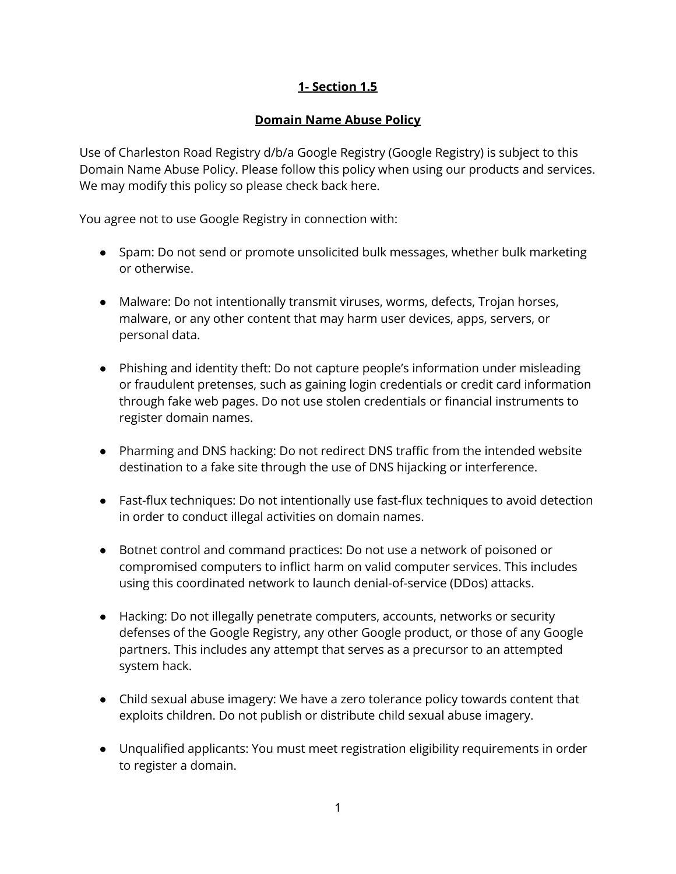### **Domain Name Abuse Policy**

Use of Charleston Road Registry d/b/a Google Registry (Google Registry) is subject to this Domain Name Abuse Policy. Please follow this policy when using our products and services. We may modify this policy so please check back here.

You agree not to use Google Registry in connection with:

- Spam: Do not send or promote unsolicited bulk messages, whether bulk marketing or otherwise.
- Malware: Do not intentionally transmit viruses, worms, defects, Trojan horses, malware, or any other content that may harm user devices, apps, servers, or personal data.
- Phishing and identity theft: Do not capture people's information under misleading or fraudulent pretenses, such as gaining login credentials or credit card information through fake web pages. Do not use stolen credentials or financial instruments to register domain names.
- Pharming and DNS hacking: Do not redirect DNS traffic from the intended website destination to a fake site through the use of DNS hijacking or interference.
- Fast-flux techniques: Do not intentionally use fast-flux techniques to avoid detection in order to conduct illegal activities on domain names.
- Botnet control and command practices: Do not use a network of poisoned or compromised computers to inflict harm on valid computer services. This includes using this coordinated network to launch denial-of-service (DDos) attacks.
- Hacking: Do not illegally penetrate computers, accounts, networks or security defenses of the Google Registry, any other Google product, or those of any Google partners. This includes any attempt that serves as a precursor to an attempted system hack.
- Child sexual abuse imagery: We have a zero tolerance policy towards content that exploits children. Do not publish or distribute child sexual abuse imagery.
- Unqualified applicants: You must meet registration eligibility requirements in order to register a domain.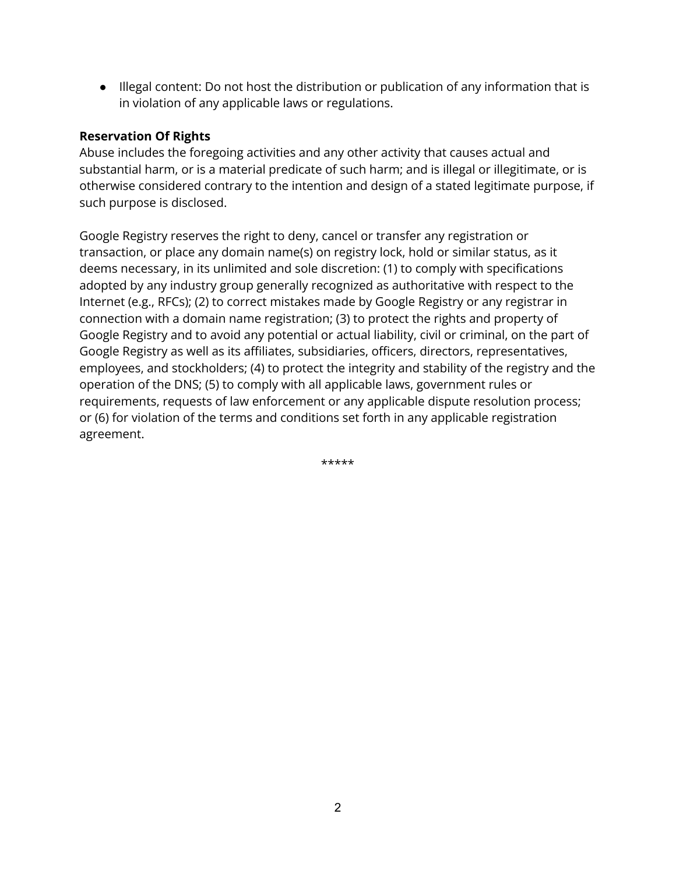● Illegal content: Do not host the distribution or publication of any information that is in violation of any applicable laws or regulations.

## **Reservation Of Rights**

Abuse includes the foregoing activities and any other activity that causes actual and substantial harm, or is a material predicate of such harm; and is illegal or illegitimate, or is otherwise considered contrary to the intention and design of a stated legitimate purpose, if such purpose is disclosed.

Google Registry reserves the right to deny, cancel or transfer any registration or transaction, or place any domain name(s) on registry lock, hold or similar status, as it deems necessary, in its unlimited and sole discretion: (1) to comply with specifications adopted by any industry group generally recognized as authoritative with respect to the Internet (e.g., RFCs); (2) to correct mistakes made by Google Registry or any registrar in connection with a domain name registration; (3) to protect the rights and property of Google Registry and to avoid any potential or actual liability, civil or criminal, on the part of Google Registry as well as its affiliates, subsidiaries, officers, directors, representatives, employees, and stockholders; (4) to protect the integrity and stability of the registry and the operation of the DNS; (5) to comply with all applicable laws, government rules or requirements, requests of law enforcement or any applicable dispute resolution process; or (6) for violation of the terms and conditions set forth in any applicable registration agreement.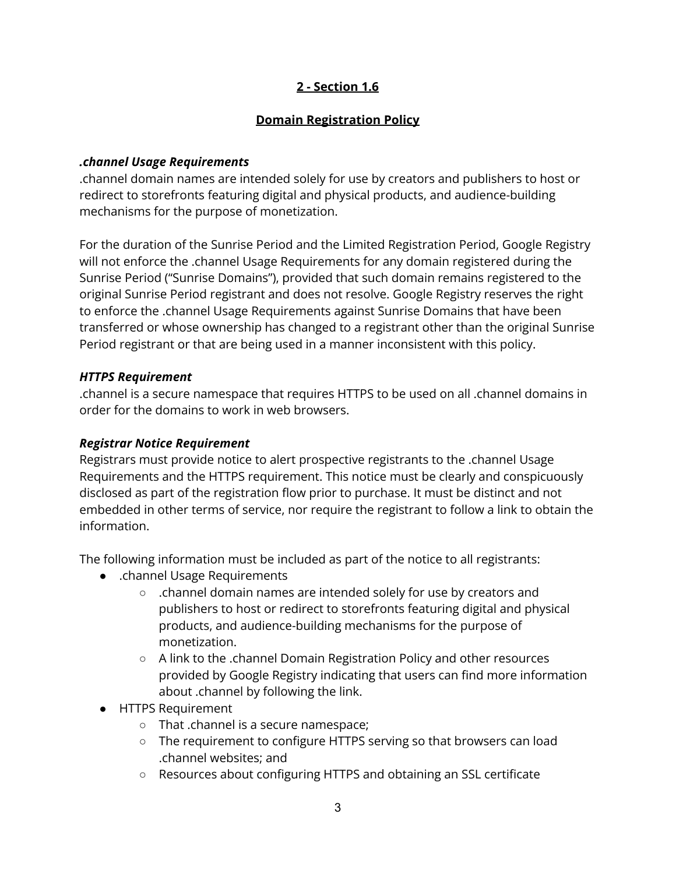## **Domain Registration Policy**

### *.channel Usage Requirements*

.channel domain names are intended solely for use by creators and publishers to host or redirect to storefronts featuring digital and physical products, and audience-building mechanisms for the purpose of monetization.

For the duration of the Sunrise Period and the Limited Registration Period, Google Registry will not enforce the .channel Usage Requirements for any domain registered during the Sunrise Period ("Sunrise Domains"), provided that such domain remains registered to the original Sunrise Period registrant and does not resolve. Google Registry reserves the right to enforce the .channel Usage Requirements against Sunrise Domains that have been transferred or whose ownership has changed to a registrant other than the original Sunrise Period registrant or that are being used in a manner inconsistent with this policy.

### *HTTPS Requirement*

.channel is a secure namespace that requires HTTPS to be used on all .channel domains in order for the domains to work in web browsers.

## *Registrar Notice Requirement*

Registrars must provide notice to alert prospective registrants to the .channel Usage Requirements and the HTTPS requirement. This notice must be clearly and conspicuously disclosed as part of the registration flow prior to purchase. It must be distinct and not embedded in other terms of service, nor require the registrant to follow a link to obtain the information.

The following information must be included as part of the notice to all registrants:

- .channel Usage Requirements
	- .channel domain names are intended solely for use by creators and publishers to host or redirect to storefronts featuring digital and physical products, and audience-building mechanisms for the purpose of monetization.
	- A link to the .channel Domain Registration Policy and other resources provided by Google Registry indicating that users can find more information about .channel by following the link.
- HTTPS Requirement
	- That .channel is a secure namespace;
	- The requirement to configure HTTPS serving so that browsers can load .channel websites; and
	- Resources about configuring HTTPS and obtaining an SSL certificate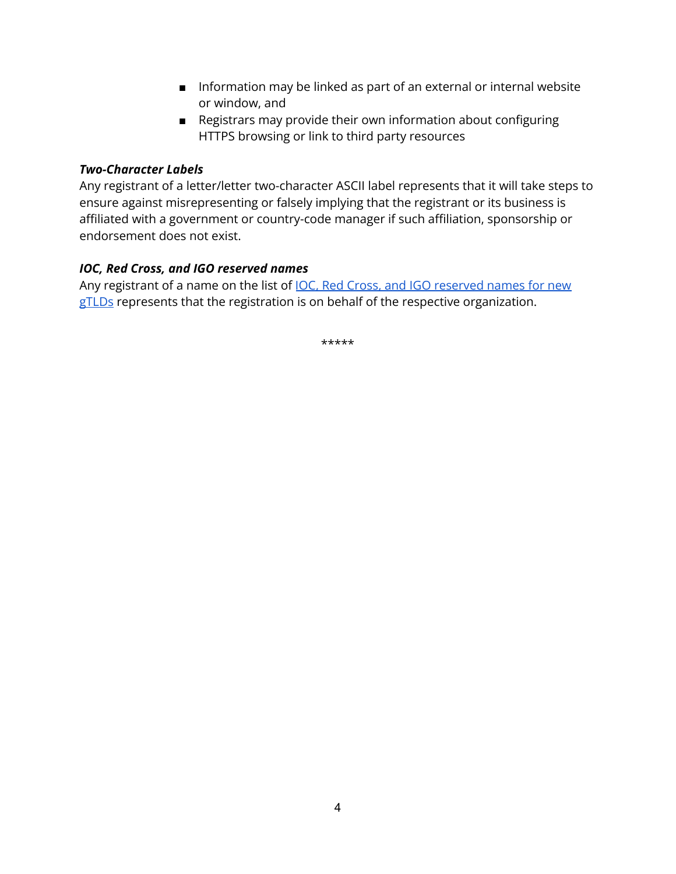- Information may be linked as part of an external or internal website or window, and
- Registrars may provide their own information about configuring HTTPS browsing or link to third party resources

## *Two-Character Labels*

Any registrant of a letter/letter two-character ASCII label represents that it will take steps to ensure against misrepresenting or falsely implying that the registrant or its business is affiliated with a government or country-code manager if such affiliation, sponsorship or endorsement does not exist.

## *IOC, Red Cross, and IGO reserved names*

Any registrant of a name on the list of *IOC*, Red Cross, and IGO [reserved](https://www.icann.org/sites/default/files/packages/reserved-names/ReservedNames.xml) names for new [gTLDs](https://www.icann.org/sites/default/files/packages/reserved-names/ReservedNames.xml) represents that the registration is on behalf of the respective organization.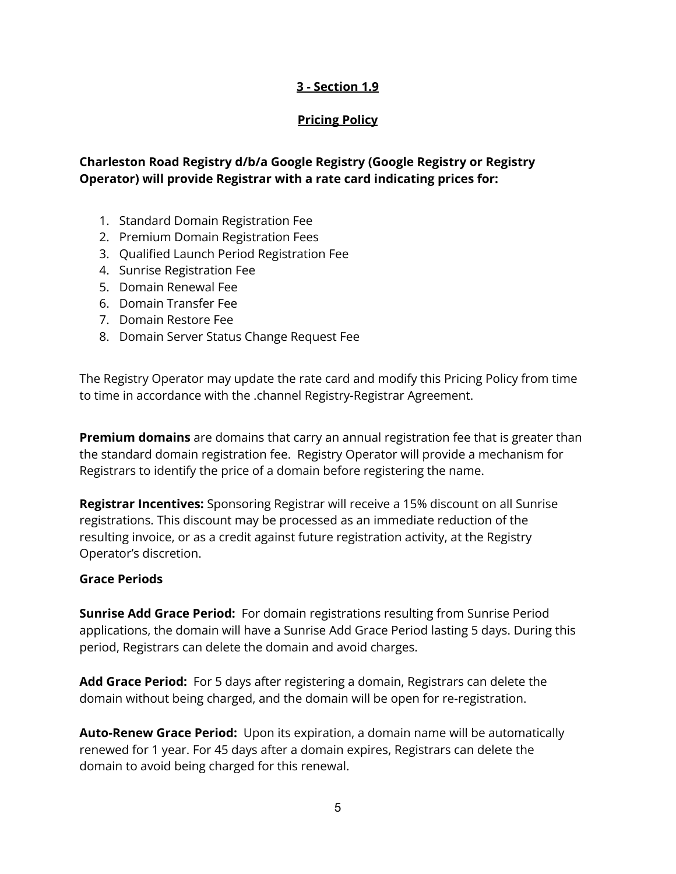## **Pricing Policy**

# **Charleston Road Registry d/b/a Google Registry (Google Registry or Registry Operator) will provide Registrar with a rate card indicating prices for:**

- 1. Standard Domain Registration Fee
- 2. Premium Domain Registration Fees
- 3. Qualified Launch Period Registration Fee
- 4. Sunrise Registration Fee
- 5. Domain Renewal Fee
- 6. Domain Transfer Fee
- 7. Domain Restore Fee
- 8. Domain Server Status Change Request Fee

The Registry Operator may update the rate card and modify this Pricing Policy from time to time in accordance with the .channel Registry-Registrar Agreement.

**Premium domains** are domains that carry an annual registration fee that is greater than the standard domain registration fee. Registry Operator will provide a mechanism for Registrars to identify the price of a domain before registering the name.

**Registrar Incentives:** Sponsoring Registrar will receive a 15% discount on all Sunrise registrations. This discount may be processed as an immediate reduction of the resulting invoice, or as a credit against future registration activity, at the Registry Operator's discretion.

### **Grace Periods**

**Sunrise Add Grace Period:** For domain registrations resulting from Sunrise Period applications, the domain will have a Sunrise Add Grace Period lasting 5 days. During this period, Registrars can delete the domain and avoid charges.

**Add Grace Period:** For 5 days after registering a domain, Registrars can delete the domain without being charged, and the domain will be open for re-registration.

**Auto-Renew Grace Period:** Upon its expiration, a domain name will be automatically renewed for 1 year. For 45 days after a domain expires, Registrars can delete the domain to avoid being charged for this renewal.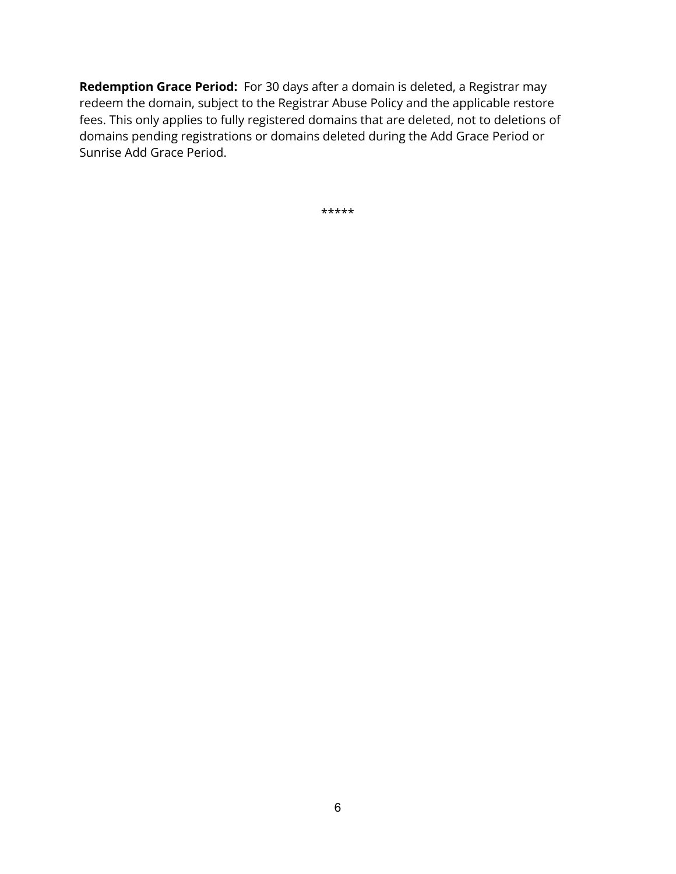**Redemption Grace Period:** For 30 days after a domain is deleted, a Registrar may redeem the domain, subject to the Registrar Abuse Policy and the applicable restore fees. This only applies to fully registered domains that are deleted, not to deletions of domains pending registrations or domains deleted during the Add Grace Period or Sunrise Add Grace Period.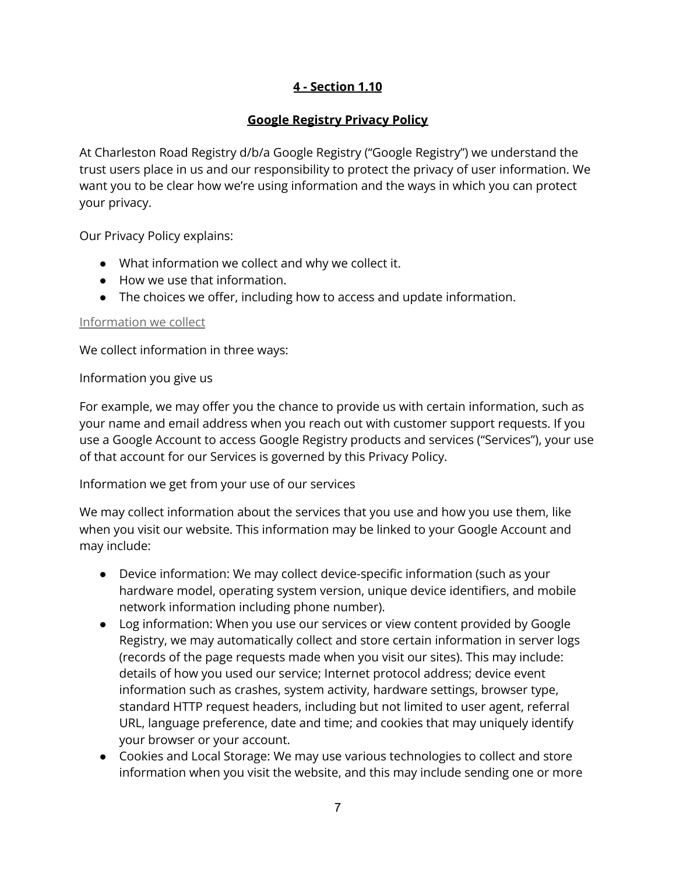# **Google Registry Privacy Policy**

At Charleston Road Registry d/b/a Google Registry ("Google Registry") we understand the trust users place in us and our responsibility to protect the privacy of user information. We want you to be clear how we're using information and the ways in which you can protect your privacy.

Our Privacy Policy explains:

- What information we collect and why we collect it.
- How we use that information.
- The choices we offer, including how to access and update information.

## Information we collect

We collect information in three ways:

## Information you give us

For example, we may offer you the chance to provide us with certain information, such as your name and email address when you reach out with customer support requests. If you use a Google Account to access Google Registry products and services ("Services"), your use of that account for our Services is governed by this Privacy Policy.

## Information we get from your use of our services

We may collect information about the services that you use and how you use them, like when you visit our website. This information may be linked to your Google Account and may include:

- Device information: We may collect device-specific information (such as your hardware model, operating system version, unique device identifiers, and mobile network information including phone number).
- Log information: When you use our services or view content provided by Google Registry, we may automatically collect and store certain information in server logs (records of the page requests made when you visit our sites). This may include: details of how you used our service; Internet protocol address; device event information such as crashes, system activity, hardware settings, browser type, standard HTTP request headers, including but not limited to user agent, referral URL, language preference, date and time; and cookies that may uniquely identify your browser or your account.
- Cookies and Local Storage: We may use various technologies to collect and store information when you visit the website, and this may include sending one or more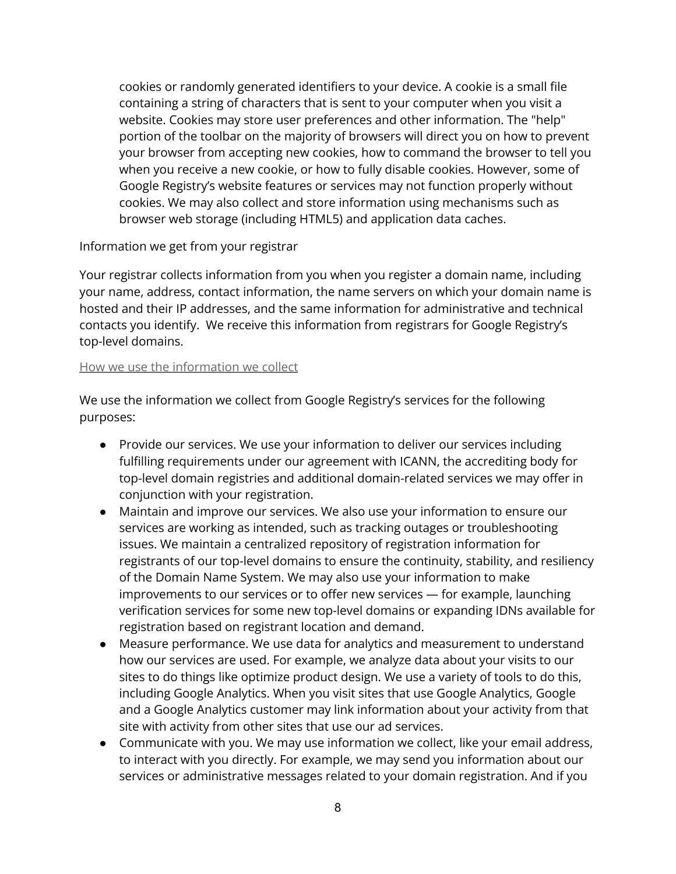cookies or randomly generated identifiers to your device. A cookie is a small file containing a string of characters that is sent to your computer when you visit a website. Cookies may store user preferences and other information. The "help" portion of the toolbar on the majority of browsers will direct you on how to prevent your browser from accepting new cookies, how to command the browser to tell you when you receive a new cookie, or how to fully disable cookies. However, some of Google Registry's website features or services may not function properly without cookies. We may also collect and store information using mechanisms such as browser web storage (including HTML5) and application data caches.

### Information we get from your registrar

Your registrar collects information from you when you register a domain name, including your name, address, contact information, the name servers on which your domain name is hosted and their IP addresses, and the same information for administrative and technical contacts you identify. We receive this information from registrars for Google Registry's top-level domains.

#### How we use the information we collect

We use the information we collect from Google Registry's services for the following purposes:

- Provide our services. We use your information to deliver our services including fulfilling requirements under our agreement with ICANN, the accrediting body for top-level domain registries and additional domain-related services we may offer in conjunction with your registration.
- Maintain and improve our services. We also use your information to ensure our services are working as intended, such as tracking outages or troubleshooting issues. We maintain a centralized repository of registration information for registrants of our top-level domains to ensure the continuity, stability, and resiliency of the Domain Name System. We may also use your information to make improvements to our services or to offer new services — for example, launching verification services for some new top-level domains or expanding IDNs available for registration based on registrant location and demand.
- Measure performance. We use data for analytics and measurement to understand how our services are used. For example, we analyze data about your visits to our sites to do things like optimize product design. We use a variety of tools to do this, including Google Analytics. When you visit sites that use Google Analytics, Google and a Google Analytics customer may link information about your activity from that site with activity from other sites that use our ad services.
- Communicate with you. We may use information we collect, like your email address, to interact with you directly. For example, we may send you information about our services or administrative messages related to your domain registration. And if you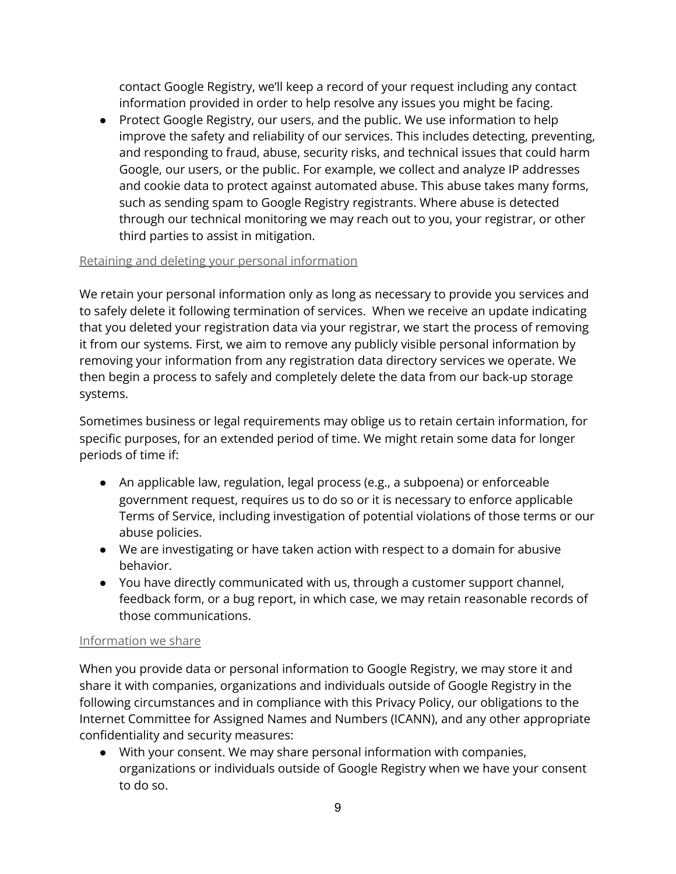contact Google Registry, we'll keep a record of your request including any contact information provided in order to help resolve any issues you might be facing.

● Protect Google Registry, our users, and the public. We use information to help improve the safety and reliability of our services. This includes detecting, preventing, and responding to fraud, abuse, security risks, and technical issues that could harm Google, our users, or the public. For example, we collect and analyze IP addresses and cookie data to protect against automated abuse. This abuse takes many forms, such as sending spam to Google Registry registrants. Where abuse is detected through our technical monitoring we may reach out to you, your registrar, or other third parties to assist in mitigation.

## Retaining and deleting your personal information

We retain your personal information only as long as necessary to provide you services and to safely delete it following termination of services. When we receive an update indicating that you deleted your registration data via your registrar, we start the process of removing it from our systems. First, we aim to remove any publicly visible personal information by removing your information from any registration data directory services we operate. We then begin a process to safely and completely delete the data from our back-up storage systems.

Sometimes business or legal requirements may oblige us to retain certain information, for specific purposes, for an extended period of time. We might retain some data for longer periods of time if:

- An applicable law, regulation, legal process (e.g., a subpoena) or enforceable government request, requires us to do so or it is necessary to enforce applicable Terms of Service, including investigation of potential violations of those terms or our abuse policies.
- We are investigating or have taken action with respect to a domain for abusive behavior.
- You have directly communicated with us, through a customer support channel, feedback form, or a bug report, in which case, we may retain reasonable records of those communications.

### Information we share

When you provide data or personal information to Google Registry, we may store it and share it with companies, organizations and individuals outside of Google Registry in the following circumstances and in compliance with this Privacy Policy, our obligations to the Internet Committee for Assigned Names and Numbers (ICANN), and any other appropriate confidentiality and security measures:

● With your consent. We may share personal information with companies, organizations or individuals outside of Google Registry when we have your consent to do so.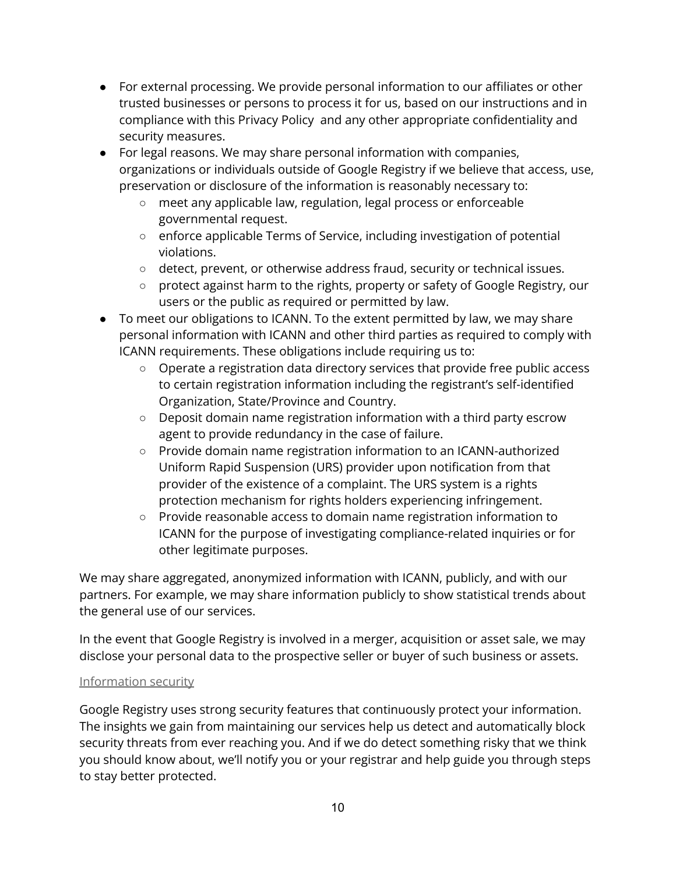- For external processing. We provide personal information to our affiliates or other trusted businesses or persons to process it for us, based on our instructions and in compliance with this Privacy Policy and any other appropriate confidentiality and security measures.
- For legal reasons. We may share personal information with companies, organizations or individuals outside of Google Registry if we believe that access, use, preservation or disclosure of the information is reasonably necessary to:
	- meet any applicable law, regulation, legal process or enforceable governmental request.
	- enforce applicable Terms of Service, including investigation of potential violations.
	- detect, prevent, or otherwise address fraud, security or technical issues.
	- protect against harm to the rights, property or safety of Google Registry, our users or the public as required or permitted by law.
- To meet our obligations to ICANN. To the extent permitted by law, we may share personal information with ICANN and other third parties as required to comply with ICANN requirements. These obligations include requiring us to:
	- Operate a registration data directory services that provide free public access to certain registration information including the registrant's self-identified Organization, State/Province and Country.
	- Deposit domain name registration information with a third party escrow agent to provide redundancy in the case of failure.
	- Provide domain name registration information to an ICANN-authorized Uniform Rapid Suspension (URS) provider upon notification from that provider of the existence of a complaint. The URS system is a rights protection mechanism for rights holders experiencing infringement.
	- Provide reasonable access to domain name registration information to ICANN for the purpose of investigating compliance-related inquiries or for other legitimate purposes.

We may share aggregated, anonymized information with ICANN, publicly, and with our partners. For example, we may share information publicly to show statistical trends about the general use of our services.

In the event that Google Registry is involved in a merger, acquisition or asset sale, we may disclose your personal data to the prospective seller or buyer of such business or assets.

### Information security

Google Registry uses strong security features that continuously protect your information. The insights we gain from maintaining our services help us detect and automatically block security threats from ever reaching you. And if we do detect something risky that we think you should know about, we'll notify you or your registrar and help guide you through steps to stay better protected.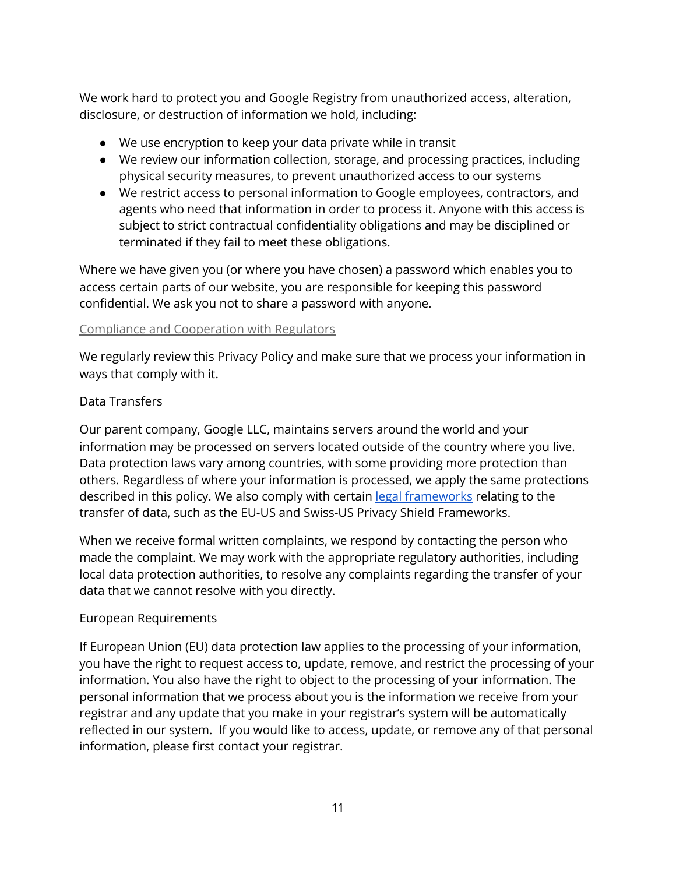We work hard to protect you and Google Registry from unauthorized access, alteration, disclosure, or destruction of information we hold, including:

- We use encryption to keep your data private while in transit
- We review our information collection, storage, and processing practices, including physical security measures, to prevent unauthorized access to our systems
- We restrict access to personal information to Google employees, contractors, and agents who need that information in order to process it. Anyone with this access is subject to strict contractual confidentiality obligations and may be disciplined or terminated if they fail to meet these obligations.

Where we have given you (or where you have chosen) a password which enables you to access certain parts of our website, you are responsible for keeping this password confidential. We ask you not to share a password with anyone.

#### Compliance and Cooperation with Regulators

We regularly review this Privacy Policy and make sure that we process your information in ways that comply with it.

## Data Transfers

Our parent company, Google LLC, maintains servers around the world and your information may be processed on servers located outside of the country where you live. Data protection laws vary among countries, with some providing more protection than others. Regardless of where your information is processed, we apply the same protections described in this policy. We also comply with certain legal [frameworks](https://policies.google.com/privacy/frameworks?hl=en&gl=ZZ) relating to the transfer of data, such as the EU-US and Swiss-US Privacy Shield Frameworks.

When we receive formal written complaints, we respond by contacting the person who made the complaint. We may work with the appropriate regulatory authorities, including local data protection authorities, to resolve any complaints regarding the transfer of your data that we cannot resolve with you directly.

### European Requirements

If European Union (EU) data protection law applies to the processing of your information, you have the right to request access to, update, remove, and restrict the processing of your information. You also have the right to object to the processing of your information. The personal information that we process about you is the information we receive from your registrar and any update that you make in your registrar's system will be automatically reflected in our system. If you would like to access, update, or remove any of that personal information, please first contact your registrar.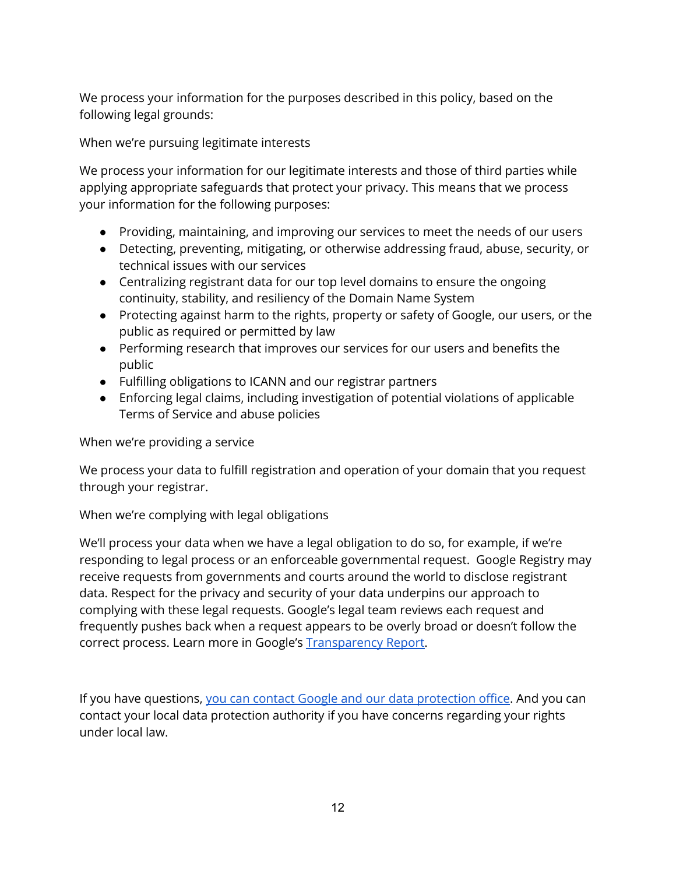We process your information for the purposes described in this policy, based on the following legal grounds:

When we're pursuing legitimate interests

We process your information for our legitimate interests and those of third parties while applying appropriate safeguards that protect your privacy. This means that we process your information for the following purposes:

- Providing, maintaining, and improving our services to meet the needs of our users
- Detecting, preventing, mitigating, or otherwise addressing fraud, abuse, security, or technical issues with our services
- Centralizing registrant data for our top level domains to ensure the ongoing continuity, stability, and resiliency of the Domain Name System
- Protecting against harm to the rights, property or safety of Google, our users, or the public as required or permitted by law
- Performing research that improves our services for our users and benefits the public
- Fulfilling obligations to ICANN and our registrar partners
- Enforcing legal claims, including investigation of potential violations of applicable Terms of Service and abuse policies

When we're providing a service

We process your data to fulfill registration and operation of your domain that you request through your registrar.

When we're complying with legal obligations

We'll process your data when we have a legal obligation to do so, for example, if we're responding to legal process or an enforceable governmental request. Google Registry may receive requests from governments and courts around the world to disclose registrant data. Respect for the privacy and security of your data underpins our approach to complying with these legal requests. Google's legal team reviews each request and frequently pushes back when a request appears to be overly broad or doesn't follow the correct process. Learn more in Google's **[Transparency](https://transparencyreport.google.com/user-data/overview) Report**.

If you have questions, you can contact Google and our data [protection](https://support.google.com/policies/troubleshooter/7575787) office. And you can contact your local data protection authority if you have concerns regarding your rights under local law.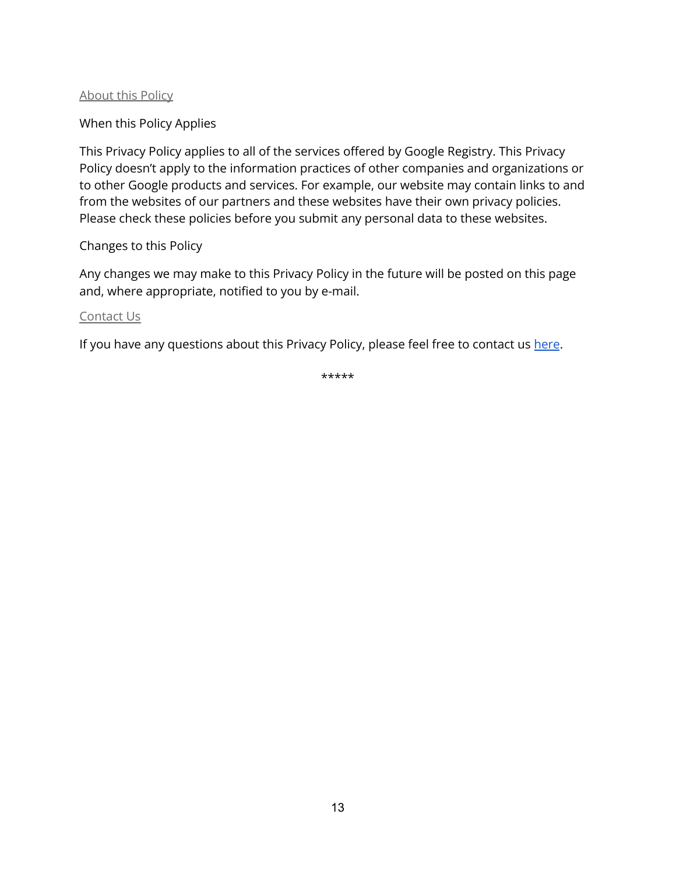#### About this Policy

### When this Policy Applies

This Privacy Policy applies to all of the services offered by Google Registry. This Privacy Policy doesn't apply to the information practices of other companies and organizations or to other Google products and services. For example, our website may contain links to and from the websites of our partners and these websites have their own privacy policies. Please check these policies before you submit any personal data to these websites.

#### Changes to this Policy

Any changes we may make to this Privacy Policy in the future will be posted on this page and, where appropriate, notified to you by e-mail.

#### Contact Us

If you have any questions about this Privacy Policy, please feel free to contact us [here](https://www.registry.google/about/report-a-problem.html)[.](http://support.google.com/websearch/bin/request.py?&ts=accounts&p=fromts&ctx=contactpolicy&contact_type=privacy)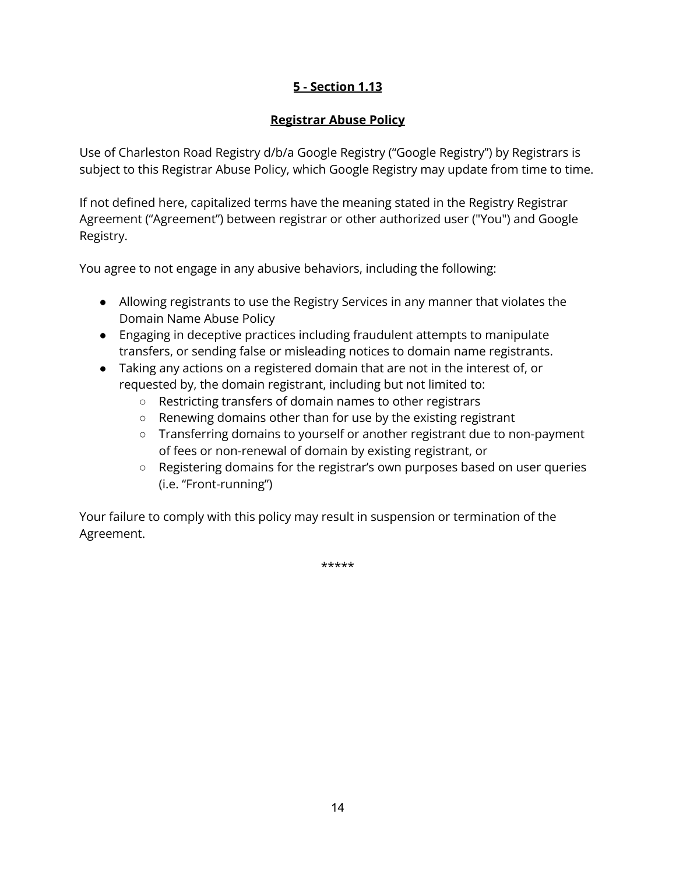# **Registrar Abuse Policy**

Use of Charleston Road Registry d/b/a Google Registry ("Google Registry") by Registrars is subject to this Registrar Abuse Policy, which Google Registry may update from time to time.

If not defined here, capitalized terms have the meaning stated in the Registry Registrar Agreement ("Agreement") between registrar or other authorized user ("You") and Google Registry.

You agree to not engage in any abusive behaviors, including the following:

- Allowing registrants to use the Registry Services in any manner that violates the [Domain](https://docs.google.com/a/google.com/document/d/1_O8OEz3BQd_QrNkogygAqA6G6LqcOiWHCRTHGctlcJM/edit) Name Abuse Policy
- Engaging in deceptive practices including fraudulent attempts to manipulate transfers, or sending false or misleading notices to domain name registrants.
- Taking any actions on a registered domain that are not in the interest of, or requested by, the domain registrant, including but not limited to:
	- Restricting transfers of domain names to other registrars
	- Renewing domains other than for use by the existing registrant
	- Transferring domains to yourself or another registrant due to non-payment of fees or non-renewal of domain by existing registrant, or
	- Registering domains for the registrar's own purposes based on user queries (i.e. "Front-running")

Your failure to comply with this policy may result in suspension or termination of the Agreement.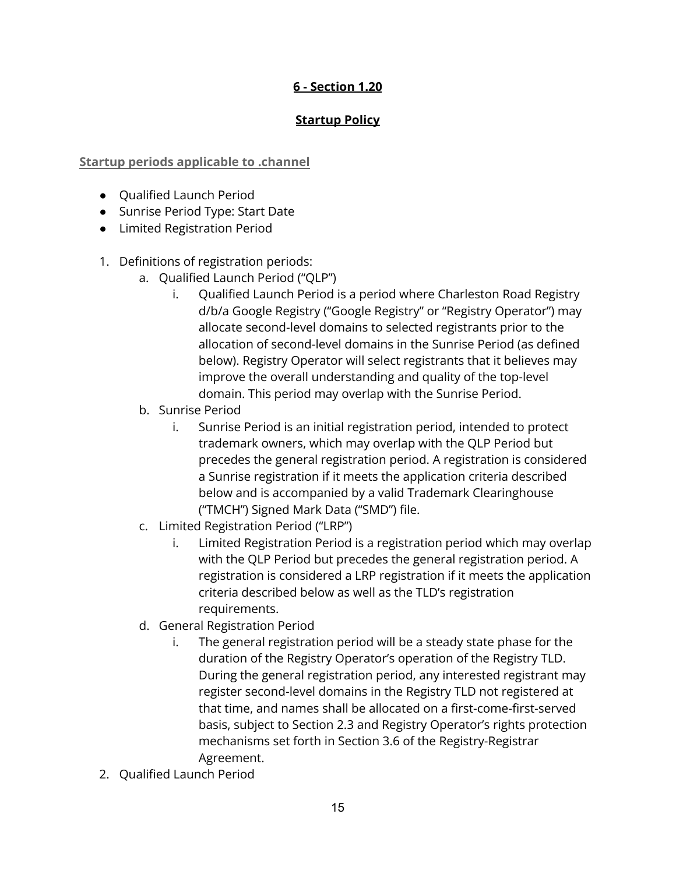## **Startup Policy**

## **Startup periods applicable to .channel**

- Oualified Launch Period
- Sunrise Period Type: Start Date
- Limited Registration Period
- 1. Definitions of registration periods:
	- a. Qualified Launch Period ("QLP")
		- i. Qualified Launch Period is a period where Charleston Road Registry d/b/a Google Registry ("Google Registry" or "Registry Operator") may allocate second-level domains to selected registrants prior to the allocation of second-level domains in the Sunrise Period (as defined below). Registry Operator will select registrants that it believes may improve the overall understanding and quality of the top-level domain. This period may overlap with the Sunrise Period.
		- b. Sunrise Period
			- i. Sunrise Period is an initial registration period, intended to protect trademark owners, which may overlap with the QLP Period but precedes the general registration period. A registration is considered a Sunrise registration if it meets the application criteria described below and is accompanied by a valid Trademark Clearinghouse ("TMCH") Signed Mark Data ("SMD") file.
		- c. Limited Registration Period ("LRP")
			- i. Limited Registration Period is a registration period which may overlap with the QLP Period but precedes the general registration period. A registration is considered a LRP registration if it meets the application criteria described below as well as the TLD's registration requirements.
		- d. General Registration Period
			- i. The general registration period will be a steady state phase for the duration of the Registry Operator's operation of the Registry TLD. During the general registration period, any interested registrant may register second-level domains in the Registry TLD not registered at that time, and names shall be allocated on a first-come-first-served basis, subject to Section 2.3 and Registry Operator's rights protection mechanisms set forth in Section 3.6 of the Registry-Registrar Agreement.
- 2. Qualified Launch Period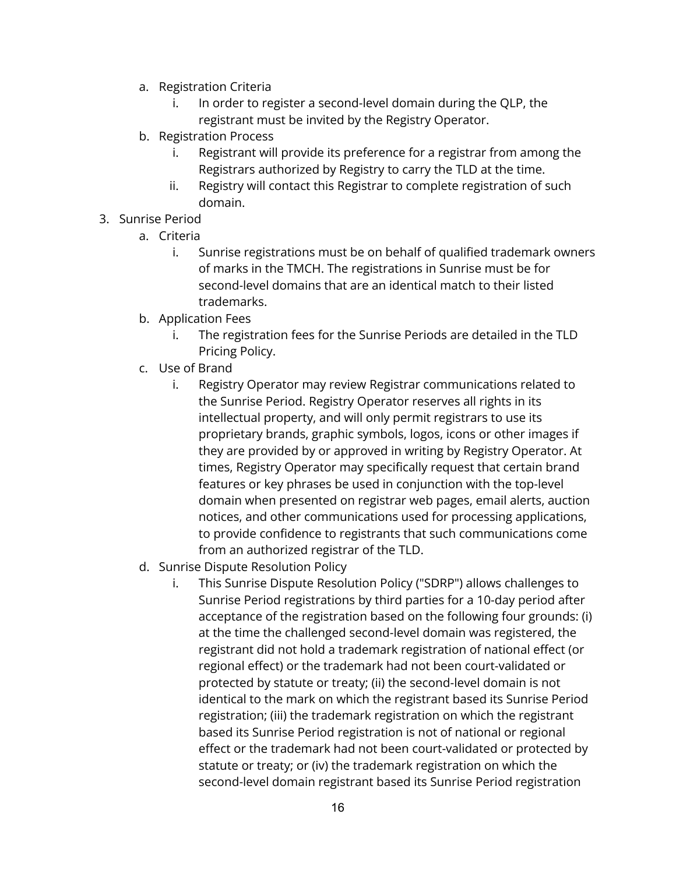- a. Registration Criteria
	- i. In order to register a second-level domain during the QLP, the registrant must be invited by the Registry Operator.
- b. Registration Process
	- i. Registrant will provide its preference for a registrar from among the Registrars authorized by Registry to carry the TLD at the time.
	- ii. Registry will contact this Registrar to complete registration of such domain.
- 3. Sunrise Period
	- a. Criteria
		- i. Sunrise registrations must be on behalf of qualified trademark owners of marks in the TMCH. The registrations in Sunrise must be for second-level domains that are an identical match to their listed trademarks.
	- b. Application Fees
		- i. The registration fees for the Sunrise Periods are detailed in the TLD Pricing Policy.
	- c. Use of Brand
		- i. Registry Operator may review Registrar communications related to the Sunrise Period. Registry Operator reserves all rights in its intellectual property, and will only permit registrars to use its proprietary brands, graphic symbols, logos, icons or other images if they are provided by or approved in writing by Registry Operator. At times, Registry Operator may specifically request that certain brand features or key phrases be used in conjunction with the top-level domain when presented on registrar web pages, email alerts, auction notices, and other communications used for processing applications, to provide confidence to registrants that such communications come from an authorized registrar of the TLD.
	- d. Sunrise Dispute Resolution Policy
		- i. This Sunrise Dispute Resolution Policy ("SDRP") allows challenges to Sunrise Period registrations by third parties for a 10-day period after acceptance of the registration based on the following four grounds: (i) at the time the challenged second-level domain was registered, the registrant did not hold a trademark registration of national effect (or regional effect) or the trademark had not been court-validated or protected by statute or treaty; (ii) the second-level domain is not identical to the mark on which the registrant based its Sunrise Period registration; (iii) the trademark registration on which the registrant based its Sunrise Period registration is not of national or regional effect or the trademark had not been court-validated or protected by statute or treaty; or (iv) the trademark registration on which the second-level domain registrant based its Sunrise Period registration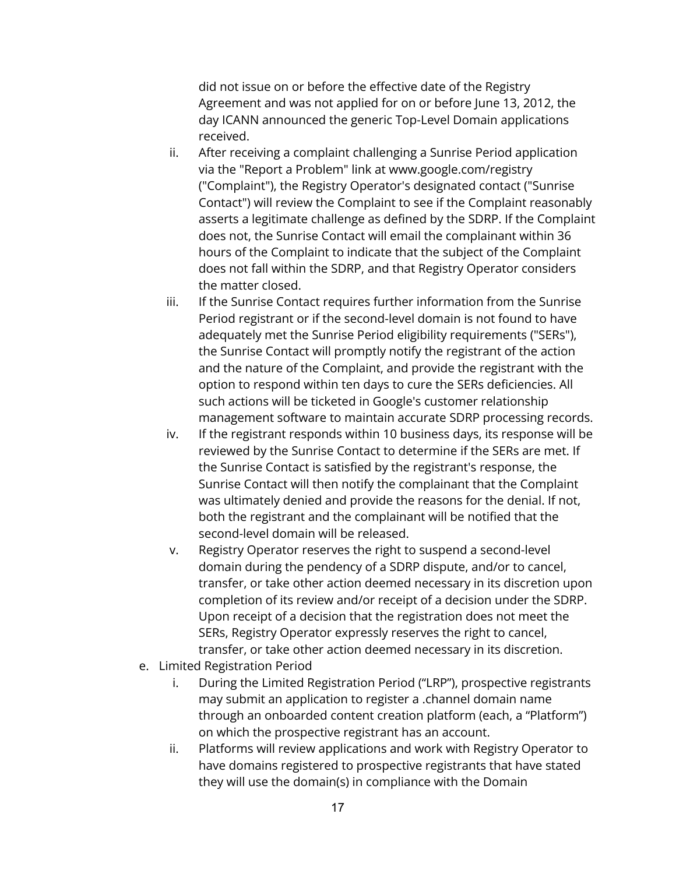did not issue on or before the effective date of the Registry Agreement and was not applied for on or before June 13, 2012, the day ICANN announced the generic Top-Level Domain applications received.

- ii. After receiving a complaint challenging a Sunrise Period application via the "Report a Problem" link at www.google.com/registry ("Complaint"), the Registry Operator's designated contact ("Sunrise Contact") will review the Complaint to see if the Complaint reasonably asserts a legitimate challenge as defined by the SDRP. If the Complaint does not, the Sunrise Contact will email the complainant within 36 hours of the Complaint to indicate that the subject of the Complaint does not fall within the SDRP, and that Registry Operator considers the matter closed.
- iii. If the Sunrise Contact requires further information from the Sunrise Period registrant or if the second-level domain is not found to have adequately met the Sunrise Period eligibility requirements ("SERs"), the Sunrise Contact will promptly notify the registrant of the action and the nature of the Complaint, and provide the registrant with the option to respond within ten days to cure the SERs deficiencies. All such actions will be ticketed in Google's customer relationship management software to maintain accurate SDRP processing records.
- iv. If the registrant responds within 10 business days, its response will be reviewed by the Sunrise Contact to determine if the SERs are met. If the Sunrise Contact is satisfied by the registrant's response, the Sunrise Contact will then notify the complainant that the Complaint was ultimately denied and provide the reasons for the denial. If not, both the registrant and the complainant will be notified that the second-level domain will be released.
- v. Registry Operator reserves the right to suspend a second-level domain during the pendency of a SDRP dispute, and/or to cancel, transfer, or take other action deemed necessary in its discretion upon completion of its review and/or receipt of a decision under the SDRP. Upon receipt of a decision that the registration does not meet the SERs, Registry Operator expressly reserves the right to cancel, transfer, or take other action deemed necessary in its discretion.
- e. Limited Registration Period
	- i. During the Limited Registration Period ("LRP"), prospective registrants may submit an application to register a .channel domain name through an onboarded content creation platform (each, a "Platform") on which the prospective registrant has an account.
	- ii. Platforms will review applications and work with Registry Operator to have domains registered to prospective registrants that have stated they will use the domain(s) in compliance with the Domain